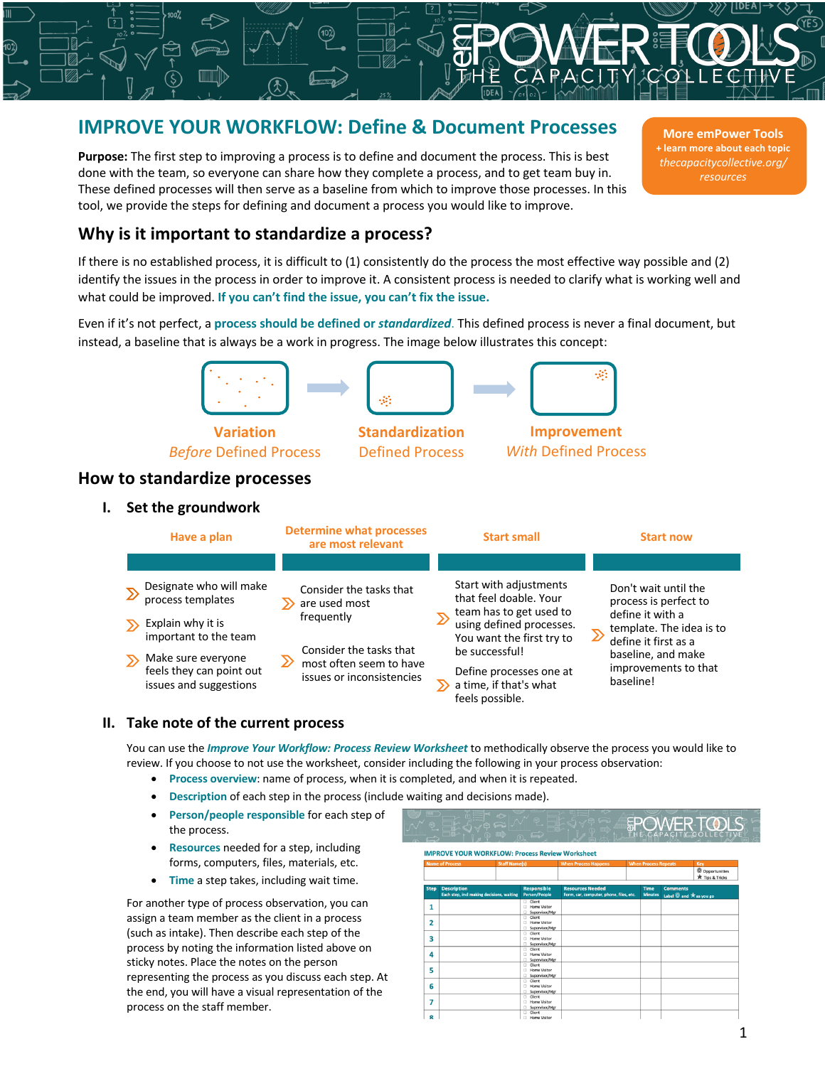# **IMPROVE YOUR WORKFLOW: Define & Document Processes**

**Purpose:** The first step to improving a process is to define and document the process. This is best done with the team, so everyone can share how they complete a process, and to get team buy in. These defined processes will then serve as a baseline from which to improve those processes. In this tool, we provide the steps for defining and document a process you would like to improve.

**More emPower Tools + learn more about each topic** *thecapacitycollective.org/ resources*

# **Why is it important to standardize a process?**

If there is no established process, it is difficult to (1) consistently do the process the most effective way possible and (2) identify the issues in the process in order to improve it. A consistent process is needed to clarify what is working well and what could be improved. **If you can't find the issue, you can't fix the issue.**

Even if it's not perfect, a **process should be defined or** *standardized*. This defined process is never a final document, but instead, a baseline that is always be a work in progress. The image below illustrates this concept:



Defined Process

*Before* Defined Process

**How to standardize processes**

**I. Set the groundwork**

| Have a plan |                                                                          | <b>Determine what processes</b><br>are most relevant |                                                                                   |  | <b>Start small</b>                                                                                                                                     |  | <b>Start now</b>                                                                                                      |  |  |
|-------------|--------------------------------------------------------------------------|------------------------------------------------------|-----------------------------------------------------------------------------------|--|--------------------------------------------------------------------------------------------------------------------------------------------------------|--|-----------------------------------------------------------------------------------------------------------------------|--|--|
|             |                                                                          |                                                      |                                                                                   |  |                                                                                                                                                        |  |                                                                                                                       |  |  |
|             | Designate who will make<br>process templates                             |                                                      | Consider the tasks that<br>are used most<br>frequently<br>Consider the tasks that |  | Start with adjustments<br>that feel doable. Your<br>team has to get used to<br>using defined processes.<br>You want the first try to<br>be successful! |  | Don't wait until the<br>process is perfect to<br>define it with a<br>template. The idea is to<br>define it first as a |  |  |
|             | Explain why it is<br>important to the team                               |                                                      |                                                                                   |  |                                                                                                                                                        |  |                                                                                                                       |  |  |
|             | Make sure everyone<br>feels they can point out<br>issues and suggestions | ≫                                                    | most often seem to have<br>issues or inconsistencies                              |  | Define processes one at<br>a time, if that's what<br>feels possible.                                                                                   |  | baseline, and make<br>improvements to that<br>baseline!                                                               |  |  |

# **II. Take note of the current process**

You can use the *Improve Your Workflow: Process Review Worksheet* to methodically observe the process you would like to review. If you choose to not use the worksheet, consider including the following in your process observation:

- **Process overview**: name of process, when it is completed, and when it is repeated.
- **Description** of each step in the process (include waiting and decisions made).
- **Person/people responsible** for each step of the process.
- **Resources** needed for a step, including forms, computers, files, materials, etc.
- **Time** a step takes, including wait time.

For another type of process observation, you can assign a team member as the client in a process (such as intake). Then describe each step of the process by noting the information listed above on sticky notes. Place the notes on the person representing the process as you discuss each step. At the end, you will have a visual representation of the process on the staff member.

| <b>IMPROVE YOUR WORKFLOW: Process Review Worksheet</b><br><b>Name of Process</b><br><b>Staff Name(s)</b> |                                                                 |                                            | <b>When Process Happens</b>                                        | <b>When Process Repeats</b> |                               |                                                | Key<br>© Opportunities<br>Tips & Tricks |
|----------------------------------------------------------------------------------------------------------|-----------------------------------------------------------------|--------------------------------------------|--------------------------------------------------------------------|-----------------------------|-------------------------------|------------------------------------------------|-----------------------------------------|
| <b>Step</b>                                                                                              | <b>Description</b><br>Each step, incl making decisions, waiting | <b>Responsible</b><br><b>Person/People</b> | <b>Resources Needed</b><br>Form, car, computer, phone, files, etc. |                             | <b>Time</b><br><b>Minutes</b> | <b>Comments</b><br>Label $@$ and $*$ as you go |                                         |
| 1                                                                                                        |                                                                 | Client<br><b>I</b> Home Visitor            |                                                                    |                             |                               |                                                |                                         |
|                                                                                                          |                                                                 | Supervisor/Mar                             |                                                                    |                             |                               |                                                |                                         |
| $\overline{2}$                                                                                           |                                                                 | <b>Client</b><br>□ Home Visitor            |                                                                    |                             |                               |                                                |                                         |
|                                                                                                          |                                                                 | Supervisor/Mar<br>$\Box$                   |                                                                    |                             |                               |                                                |                                         |
| 3                                                                                                        |                                                                 | Client<br><b>I</b> Home Visitor            |                                                                    |                             |                               |                                                |                                         |
|                                                                                                          |                                                                 | Supervisor/Mar<br>$\Box$                   |                                                                    |                             |                               |                                                |                                         |
| 4                                                                                                        |                                                                 | <b>Client</b><br>□ Home Visitor            |                                                                    |                             |                               |                                                |                                         |
|                                                                                                          |                                                                 | $\Box$<br>Supervisor/Mar                   |                                                                    |                             |                               |                                                |                                         |
| 5                                                                                                        |                                                                 | $\Box$ Client<br><b>Home Visitor</b>       |                                                                    |                             |                               |                                                |                                         |
|                                                                                                          |                                                                 | n.<br>Supervisor/Mgr                       |                                                                    |                             |                               |                                                |                                         |
|                                                                                                          |                                                                 | <b>Client</b>                              |                                                                    |                             |                               |                                                |                                         |
| 6                                                                                                        |                                                                 | □ Home Visitor                             |                                                                    |                             |                               |                                                |                                         |
|                                                                                                          |                                                                 | $\Box$<br>Supervisor/Mar<br>Client         |                                                                    |                             |                               |                                                |                                         |
| 7                                                                                                        |                                                                 | <b>I</b> Home Visitor                      |                                                                    |                             |                               |                                                |                                         |

*With* Defined Process